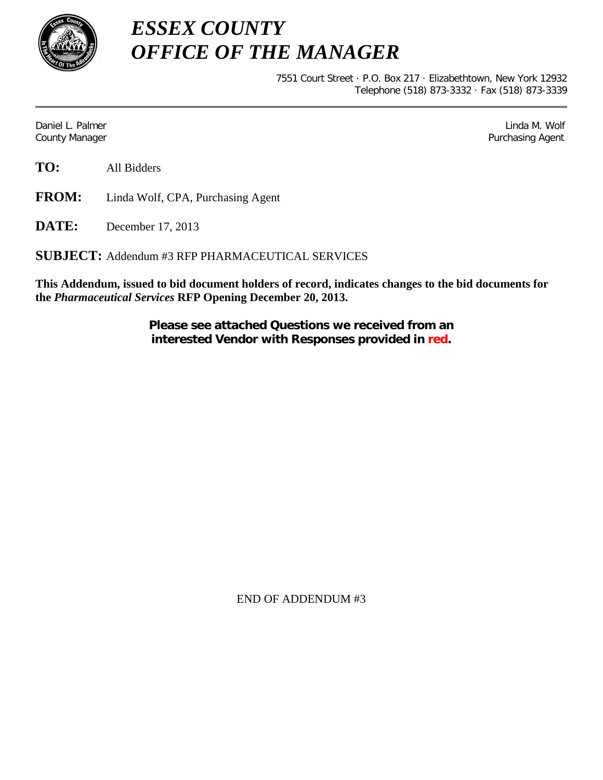

*ESSEX COUNTY OFFICE OF THE MANAGER*

> 7551 Court Street · P.O. Box 217 · Elizabethtown, New York 12932 Telephone (518) 873-3332 · Fax (518) 873-3339

Daniel L. Palmer Later and the control of the control of the control of the control of the control of the control of the control of the control of the control of the control of the control of the control of the control of County Manager Purchasing Agent

**FROM:** Linda Wolf, CPA, Purchasing Agent

**DATE:** December 17, 2013

**SUBJECT:** Addendum #3 RFP PHARMACEUTICAL SERVICES

**This Addendum, issued to bid document holders of record, indicates changes to the bid documents for the** *Pharmaceutical Services* **RFP Opening December 20, 2013.**

> **Please see attached Questions we received from an interested Vendor with Responses provided in red.**

> > END OF ADDENDUM #3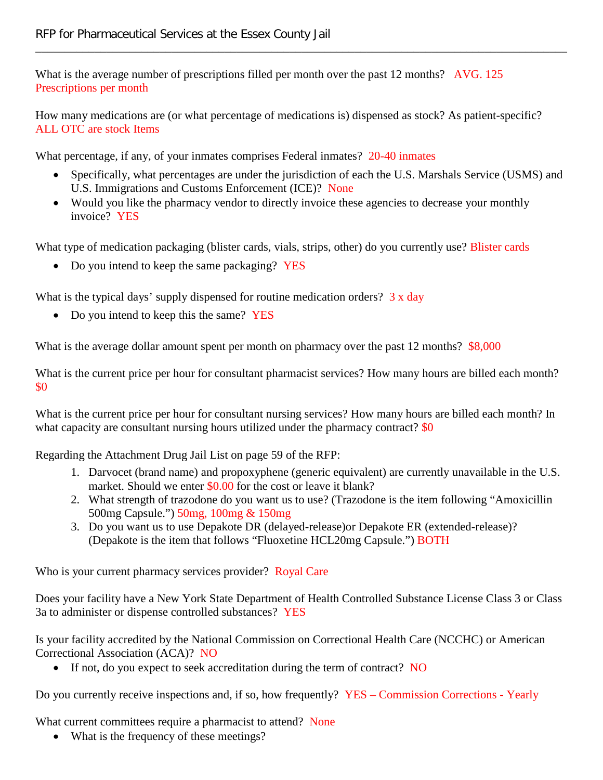What is the average number of prescriptions filled per month over the past 12 months? AVG. 125 Prescriptions per month

How many medications are (or what percentage of medications is) dispensed as stock? As patient-specific? ALL OTC are stock Items

\_\_\_\_\_\_\_\_\_\_\_\_\_\_\_\_\_\_\_\_\_\_\_\_\_\_\_\_\_\_\_\_\_\_\_\_\_\_\_\_\_\_\_\_\_\_\_\_\_\_\_\_\_\_\_\_\_\_\_\_\_\_\_\_\_\_\_\_\_\_\_\_\_\_\_\_\_\_\_\_\_\_\_\_\_\_\_\_\_\_

What percentage, if any, of your inmates comprises Federal inmates? 20-40 inmates

- Specifically, what percentages are under the jurisdiction of each the U.S. Marshals Service (USMS) and U.S. Immigrations and Customs Enforcement (ICE)? None
- Would you like the pharmacy vendor to directly invoice these agencies to decrease your monthly invoice? YES

What type of medication packaging (blister cards, vials, strips, other) do you currently use? Blister cards

• Do you intend to keep the same packaging? YES

What is the typical days' supply dispensed for routine medication orders?  $3 \times$  day

• Do you intend to keep this the same? YES

What is the average dollar amount spent per month on pharmacy over the past 12 months? \$8,000

What is the current price per hour for consultant pharmacist services? How many hours are billed each month? \$0

What is the current price per hour for consultant nursing services? How many hours are billed each month? In what capacity are consultant nursing hours utilized under the pharmacy contract?  $$0$ 

Regarding the Attachment Drug Jail List on page 59 of the RFP:

- 1. Darvocet (brand name) and propoxyphene (generic equivalent) are currently unavailable in the U.S. market. Should we enter \$0.00 for the cost or leave it blank?
- 2. What strength of trazodone do you want us to use? (Trazodone is the item following "Amoxicillin 500mg Capsule.") 50mg, 100mg & 150mg
- 3. Do you want us to use Depakote DR (delayed-release)or Depakote ER (extended-release)? (Depakote is the item that follows "Fluoxetine HCL20mg Capsule.") BOTH

Who is your current pharmacy services provider? Royal Care

Does your facility have a New York State Department of Health Controlled Substance License Class 3 or Class 3a to administer or dispense controlled substances? YES

Is your facility accredited by the National Commission on Correctional Health Care (NCCHC) or American Correctional Association (ACA)? NO

• If not, do you expect to seek accreditation during the term of contract? NO

Do you currently receive inspections and, if so, how frequently? YES – Commission Corrections - Yearly

What current committees require a pharmacist to attend? None

• What is the frequency of these meetings?